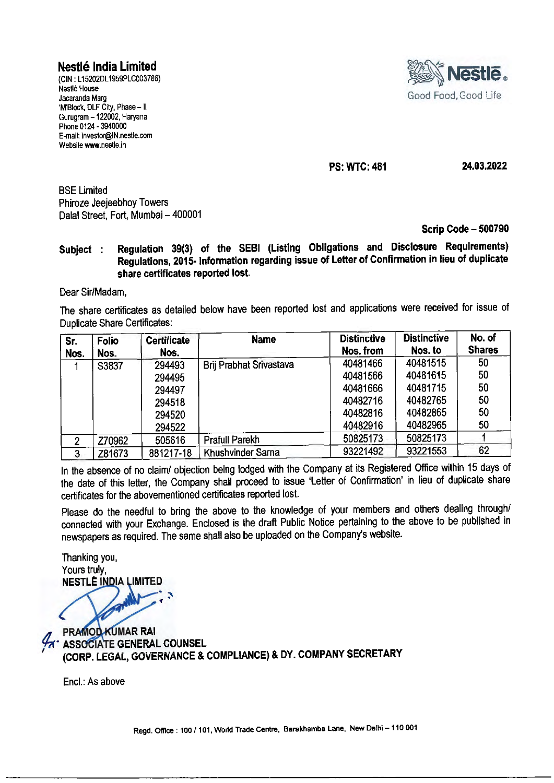## **Nestle India Limited**

(CIN : L 15202DL 1959PLC003786) Nestle House Jacaranda Marg 'M'Block, DLF City, Phase - II Gurugram -122002, Haryana Phone 0124 - 3940000 E-mail: investor@IN.nestle.com Website www.nestle.in



**PS: WTC: 481** 

**24.03.2022** 

BSE Limited Phiroze Jeejeebhoy Towers Dalal Street, Fort, Mumbai- 400001

**Scrip Code - 500790** 

**Subject : Regulation 39(3) of the SEBI (Listing Obligations and Disclosure Requirements) Regulations, 2015- Information regarding issue of Letter of Confirmation in lieu of duplicate share certificates reported lost.** 

Dear Sir/Madam,

The share certificates as detailed below have been reported lost and applications were received for issue of Duplicate Share Certificates:

| Sr.<br>Nos.    | <b>Folio</b><br>Nos. | <b>Certificate</b><br>Nos. | <b>Name</b>             | <b>Distinctive</b><br>Nos. from | <b>Distinctive</b><br>Nos. to | No. of<br><b>Shares</b> |
|----------------|----------------------|----------------------------|-------------------------|---------------------------------|-------------------------------|-------------------------|
|                | S3837                | 294493                     | Brij Prabhat Srivastava | 40481466                        | 40481515                      | 50                      |
|                |                      | 294495                     |                         | 40481566                        | 40481615                      | 50                      |
|                |                      | 294497                     |                         | 40481666                        | 40481715                      | 50                      |
|                |                      | 294518                     |                         | 40482716                        | 40482765                      | 50                      |
|                |                      | 294520                     |                         | 40482816                        | 40482865                      | 50                      |
|                |                      | 294522                     |                         | 40482916                        | 40482965                      | 50                      |
| $\overline{2}$ | Z70962               | 505616                     | <b>Prafull Parekh</b>   | 50825173                        | 50825173                      |                         |
| 3              | Z81673               | 881217-18                  | Khushvinder Sarna       | 93221492                        | 93221553                      | 62                      |

In the absence of no claim/ objection being lodged with the Company at its Registered Office within 15 days of the date of this letter, the Company shall proceed to issue 'Letter of Confirmation' in lieu of duplicate share certificates for the abovementioned certificates reported lost.

Please do the needful to bring the above to the knowledge of your members and others dealing through/ connected with your Exchange. Enclosed is the draft Public Notice pertaining to the above to be published in newspapers as required. The same shall also be uploaded on the Company's website.

Thanking you, Yours truly, **NESTLÉ INDIA LIMITED** 

**PRAMOD KUMAR RAI A ASSOCIATE GENERAL COUNSEL** (CORP. LEGAL, GOVERNANCE & COMPLIANCE) & DY. COMPANY SECRETARY

Encl.: As above